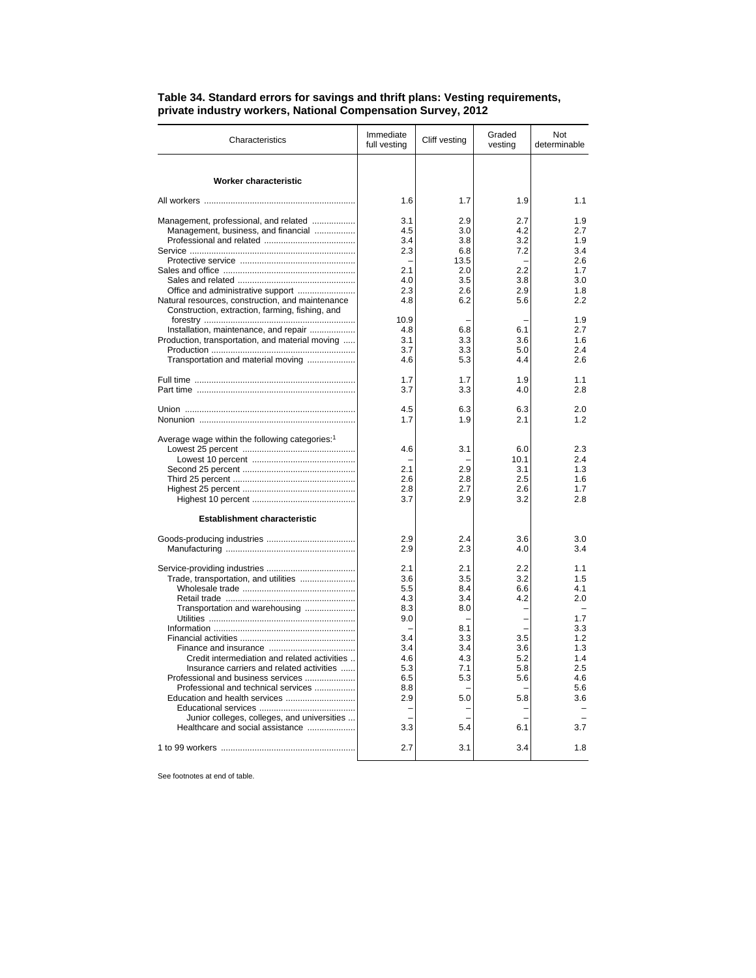| Immediate<br>Graded<br>Cliff vesting<br>Characteristics<br>full vesting<br>vesting | Not<br>determinable |
|------------------------------------------------------------------------------------|---------------------|
|                                                                                    |                     |
| Worker characteristic                                                              |                     |
| 1.6<br>1.7<br>1.9                                                                  | 1.1                 |
| Management, professional, and related<br>3.1<br>2.9<br>2.7                         | 1.9                 |
| Management, business, and financial<br>4.5<br>4.2<br>3.0                           | 2.7                 |
| 3.4<br>3.8<br>3.2                                                                  | 1.9                 |
| 2.3<br>6.8<br>7.2                                                                  | 3.4                 |
| 13.5                                                                               | 2.6                 |
| 2.2<br>2.1<br>2.0                                                                  | 1.7                 |
| 4.0<br>3.5<br>3.8                                                                  | 3.0                 |
| Office and administrative support<br>2.3<br>2.6<br>2.9                             | 1.8                 |
| Natural resources, construction, and maintenance<br>4.8<br>6.2<br>5.6              | 22                  |
| Construction, extraction, farming, fishing, and                                    |                     |
| 10.9                                                                               | 1.9                 |
| Installation, maintenance, and repair<br>4.8<br>6.8<br>6.1                         | 2.7                 |
| Production, transportation, and material moving<br>3.1<br>3.3<br>3.6               | 1.6                 |
| 3.7<br>3.3<br>5.0                                                                  | 2.4                 |
| Transportation and material moving<br>4.6<br>5.3<br>4.4                            | 2.6                 |
| 1.7<br>1.7<br>1.9                                                                  | 1.1                 |
| 3.7<br>3.3<br>4.0                                                                  | 2.8                 |
|                                                                                    |                     |
| 4.5<br>6.3<br>6.3                                                                  | 2.0                 |
| 1.7<br>1.9<br>2.1                                                                  | 1.2                 |
| Average wage within the following categories: <sup>1</sup>                         |                     |
| 4.6<br>3.1<br>6.0                                                                  | 2.3                 |
| 10.1                                                                               | 2.4                 |
| 2.1<br>2.9<br>3.1                                                                  | 1.3                 |
| 2.6<br>2.8<br>2.5                                                                  | 1.6                 |
| 2.8<br>2.7<br>2.6                                                                  | 1.7                 |
| 3.7<br>2.9<br>3.2                                                                  | 2.8                 |
| <b>Establishment characteristic</b>                                                |                     |
| 2.4                                                                                | 3.0                 |
| 2.9<br>3.6<br>2.9<br>2.3<br>4.0                                                    | 3.4                 |
|                                                                                    |                     |
| 2.1<br>2.1<br>2.2                                                                  | 1.1                 |
| Trade, transportation, and utilities<br>3.6<br>3.5<br>3.2                          | 1.5                 |
| 5.5<br>8.4<br>6.6                                                                  | 4.1                 |
| 4.3<br>3.4<br>4.2                                                                  | 2.0                 |
| Transportation and warehousing<br>8.3<br>8.0                                       |                     |
| 9.0                                                                                | 1.7                 |
| 8.1                                                                                | 3.3                 |
| 3.4<br>3.3<br>3.5                                                                  | 1.2                 |
| 3.4<br>3.4<br>3.6                                                                  | 1.3                 |
| Credit intermediation and related activities<br>4.6<br>4.3<br>5.2                  | 1.4                 |
| Insurance carriers and related activities<br>5.3<br>7.1<br>5.8                     | 2.5                 |
| Professional and business services<br>6.5<br>5.3<br>5.6                            | 4.6                 |
| Professional and technical services<br>8.8                                         | 5.6                 |
| 2.9<br>5.0<br>5.8                                                                  | 3.6                 |
|                                                                                    |                     |
| Junior colleges, colleges, and universities                                        |                     |
|                                                                                    |                     |
| Healthcare and social assistance<br>3.3<br>5.4<br>6.1                              | 3.7                 |

## **Table 34. Standard errors for savings and thrift plans: Vesting requirements, private industry workers, National Compensation Survey, 2012**

See footnotes at end of table.